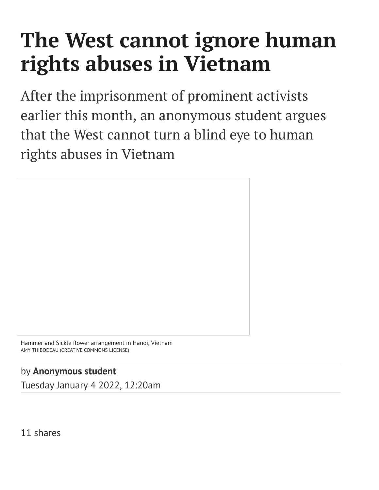## **The West cannot ignore human rights abuses in Vietnam**

After the imprisonment of prominent activists earlier this month, an anonymous student argues that the West cannot turn a blind eye to human rights abuses in Vietnam

Hammer and Sickle flower arrangement in Hanoi, Vietnam AMY THIBODEAU (CREATIVE COMMONS LICENSE)

by **[Anonymous](https://www.varsity.co.uk/profile/anonymous-student) student**

Tuesday January 4 2022, 12:20am

11 shares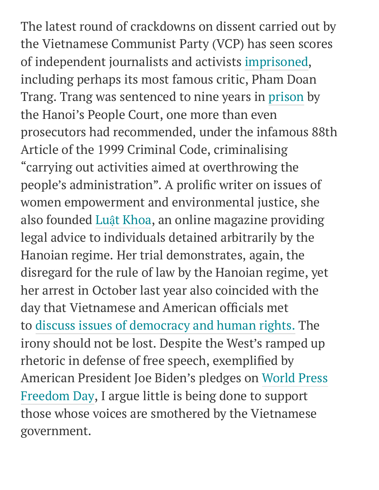The latest round of crackdowns on dissent carried out by the Vietnamese Communist Party (VCP) has seen scores of independent journalists and activists [imprisoned](https://www.ft.com/content/a3459b09-1b46-4e27-9900-a2e36d6130d6), including perhaps its most famous critic, Pham Doan Trang. Trang was sentenced to nine years in [prison](https://www.washingtonpost.com/world/asia_pacific/vietnam-press-freedom-pham-doan-trang/2021/12/14/8ed0f008-57e4-11ec-8396-5552bef55c3c_story.html) by the Hanoi's People Court, one more than even prosecutors had recommended, under the infamous 88th Article of the 1999 Criminal Code, criminalising " carrying out activities aimed at overthrowing the people's administration". A prolific writer on issues of women empowerment and environmental justice, she also founded Luật [Khoa](https://www.luatkhoa.org/), an online magazine providing legal advice to individuals detained arbitrarily by the Hanoian regime. Her trial demonstrates, again, the disregard for the rule of law by the Hanoian regime, yet her arrest in October last year also coincided with the day that Vietnamese and American officials met to discuss issues of [democracy](https://www.peopleinneed.net/vietnam-arrests-pro-democracy-icon-7084gp) and human rights. The irony should not be lost. Despite the West's ramped up rhetoric in defense of free speech, exemplified by [American](https://www.whitehouse.gov/briefing-room/statements-releases/2021/05/03/statement-by-president-joe-biden-on-the-occasion-of-world-press-freedom-day/) President Joe Biden's pledges on World Press Freedom Day, I argue little is being done to support those whose voices are smothered by the Vietnamese government.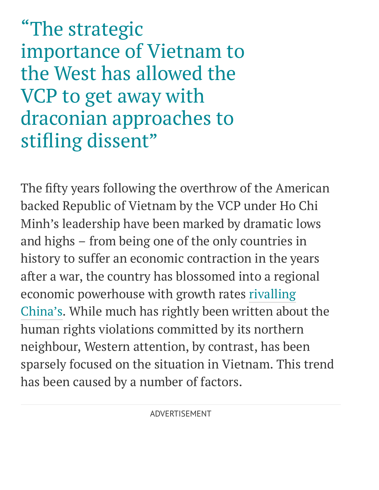"The strategic importance of Vietnam to the West has allowed the VCP to get away with draconian approaches to stifling dissent"

The fifty years following the overthrow of the American backed Republic of Vietnam by the VCP under Ho Chi Minh's leadership have been marked by dramatic lows and highs – from being one of the only countries in history to suffer an economic contraction in the years after a war, the country has blossomed into a regional economic [powerhouse](https://www.weforum.org/agenda/2018/09/how-vietnam-became-an-economic-miracle/) with growth rates rivalling China's. While much has rightly been written about the human rights violations committed by its northern neighbour, Western attention, by contrast, has been sparsely focused on the situation in Vietnam. This trend has been caused by a number of factors.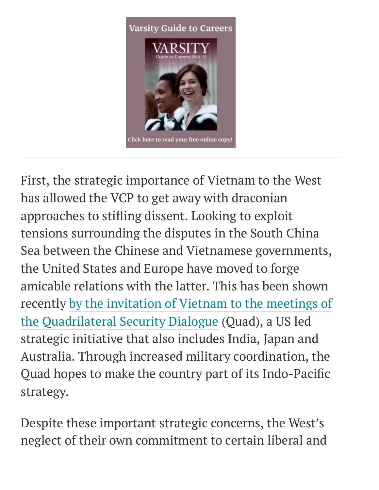

First, the strategic importance of Vietnam to the West has allowed the VCP to get away with draconian approaches to stifling dissent. Looking to exploit tensions surrounding the disputes in the South China Sea between the Chinese and Vietnamese governments, the United States and Europe have moved to forge amicable relations with the latter. This has been shown recently by the invitation of Vietnam to the meetings of the [Quadrilateral](https://www.iseas.edu.sg/mec-events/prospects-of-vietnams-strategic-engagement-with-the-quad/) Security Dialogue (Quad), a US led strategic initiative that also includes India, Japan and Australia. Through increased military coordination, the Quad hopes to make the country part of its Indo-Pacific strategy.

Despite these important strategic concerns, the West's neglect of their own commitment to certain liberal and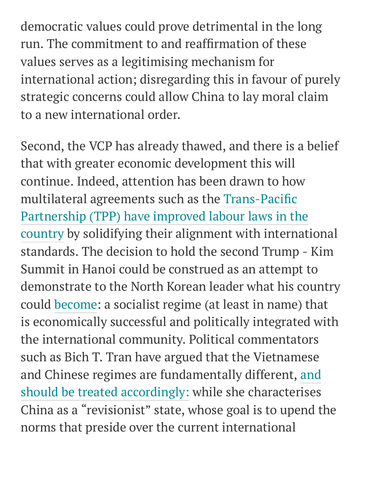democratic values could prove detrimental in the long run. The commitment to and reaffirmation of these values serves as a legitimising mechanism for international action; disregarding this in favour of purely strategic concerns could allow China to lay moral claim to a new international order.

Second, the VCP has already thawed, and there is a belief that with greater economic development this will continue. Indeed, attention has been drawn to how multilateral agreements such as the [Trans-Pacific](https://ustr.gov/sites/default/files/TPP-Standing-Up-for-Human-Rights-Fact-Sheet.pdf) Partnership (TPP) have improved labour laws in the country by solidifying their alignment with international standards. The decision to hold the second Trump - Kim Summit in Hanoi could be construed as an attempt to demonstrate to the North Korean leader what his country could [become](https://thediplomat.com/2019/02/trump-kim-2-why-hanoi/): a socialist regime (at least in name) that is economically successful and politically integrated with the international community. Political commentators such as Bich T. Tran have argued that the Vietnamese and Chinese regimes are [fundamentally](https://www.csis.org/analysis/no-trade-biden-can-both-deepen-us-vietnam-ties-and-promote-human-rights) different, and should be treated accordingly: while she characterises China as a " revisionist" state, whose goal is to upend the norms that preside over the current international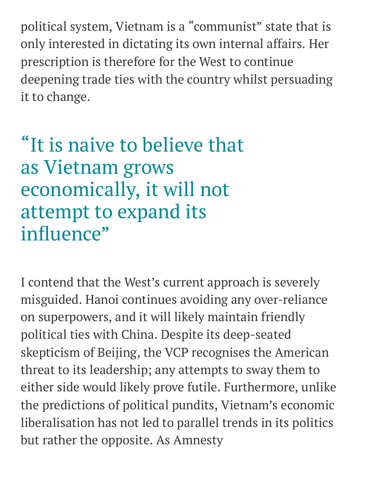political system, Vietnam is a " communist" state that is only interested in dictating its own internal affairs. Her prescription is therefore for the West to continue deepening trade ties with the country whilst persuading it to change.

## "It is naive to believe that as Vietnam grows economically, it will not attempt to expand its influence"

I contend that the West's current approach is severely misguided. Hanoi continues avoiding any over-reliance on superpowers, and it will likely maintain friendly political ties with China. Despite its deep-seated skepticism of Beijing, the VCP recognises the American threat to its leadership; any attempts to sway them to either side would likely prove futile. Furthermore, unlike the predictions of political pundits, Vietnam's economic liberalisation has not led to parallel trends in its politics but rather the opposite. As Amnesty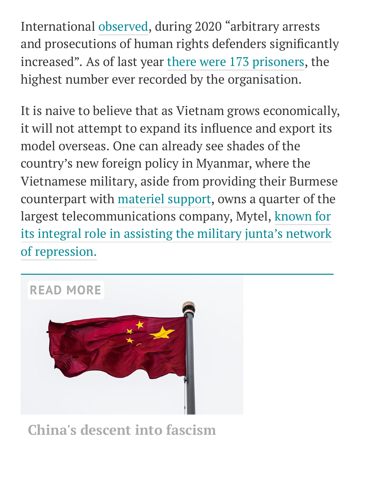International [observed,](https://www.amnesty.org/en/latest/news/2021/01/viet-nam-new-leadership-reverse-human-rights-decline/) during 2020 " arbitrary arrests and prosecutions of human rights defenders significantly increased". As of last year there were 173 [prisoners](https://www.rfa.org/english/news/vietnam/election-04072021150632.html), the highest number ever recorded by the organisation.

It is naive to believe that as Vietnam grows economically, it will not attempt to expand its influence and export its model overseas. One can already see shades of the country's new foreign policy in Myanmar, where the Vietnamese military, aside from providing their Burmese counterpart with [materiel](http://en.qdnd.vn/military/intl-relations-and-cooperation/vietnam-myanmar-expand-defense-relationship-485375) support, owns a quarter of the largest [telecommunications](https://www.myanmar-now.org/en/news/destroy-your-sim-card-activists-call-for-boycott-of-mytel-for-aiding-and-abetting-the-military) company, Mytel, known for its integral role in assisting the military junta's network of repression.



**China's [descent](https://www.varsity.co.uk/opinion/21586) into fascism**